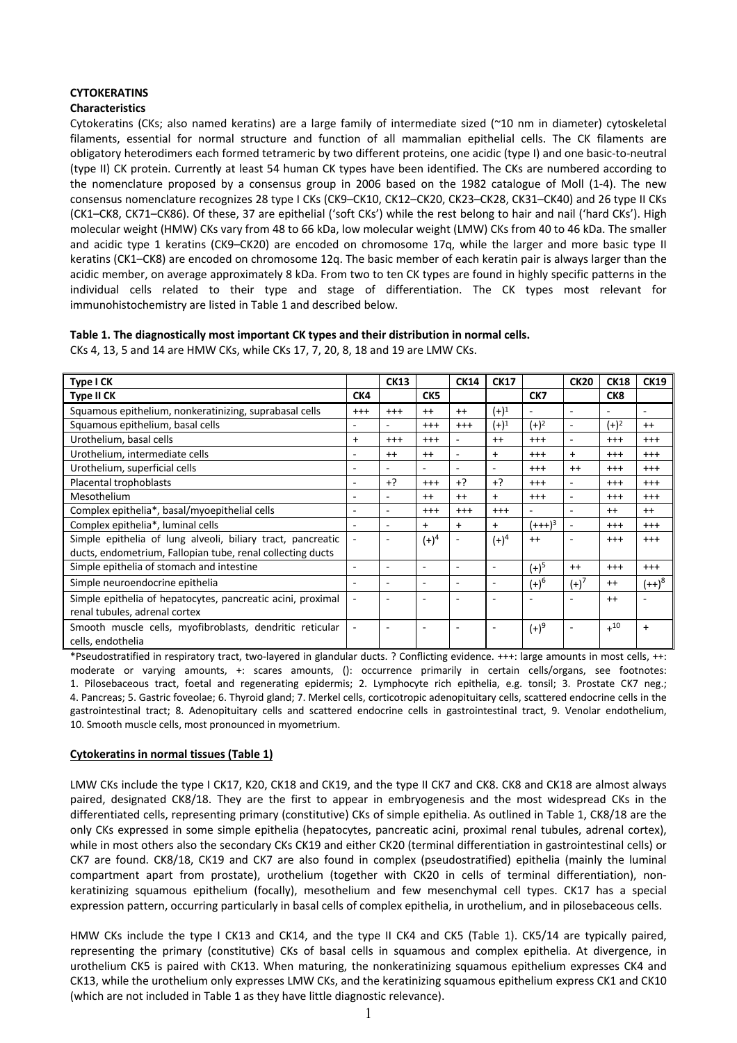# **CYTOKERATINS**

## **Characteristics**

Cytokeratins (CKs; also named keratins) are a large family of intermediate sized (~10 nm in diameter) cytoskeletal filaments, essential for normal structure and function of all mammalian epithelial cells. The CK filaments are obligatory heterodimers each formed tetrameric by two different proteins, one acidic (type I) and one basic-to-neutral (type II) CK protein. Currently at least 54 human CK types have been identified. The CKs are numbered according to the nomenclature proposed by a consensus group in 2006 based on the 1982 catalogue of Moll (1-4). The new consensus nomenclature recognizes 28 type I CKs (CK9–CK10, CK12–CK20, CK23–CK28, CK31–CK40) and 26 type II CKs (CK1–CK8, CK71–CK86). Of these, 37 are epithelial ('soft CKs') while the rest belong to hair and nail ('hard CKs'). High molecular weight (HMW) CKs vary from 48 to 66 kDa, low molecular weight (LMW) CKs from 40 to 46 kDa. The smaller and acidic type 1 keratins (CK9–CK20) are encoded on chromosome 17q, while the larger and more basic type II keratins (CK1–CK8) are encoded on chromosome 12q. The basic member of each keratin pair is always larger than the acidic member, on average approximately 8 kDa. From two to ten CK types are found in highly specific patterns in the individual cells related to their type and stage of differentiation. The CK types most relevant for immunohistochemistry are listed in Table 1 and described below.

## **Table 1. The diagnostically most important CK types and their distribution in normal cells.**

CKs 4, 13, 5 and 14 are HMW CKs, while CKs 17, 7, 20, 8, 18 and 19 are LMW CKs.

| Type I CK                                                                     |                          | <b>CK13</b>              |                          | <b>CK14</b>              | <b>CK17</b>              |                | <b>CK20</b>              | <b>CK18</b>              | <b>CK19</b>              |
|-------------------------------------------------------------------------------|--------------------------|--------------------------|--------------------------|--------------------------|--------------------------|----------------|--------------------------|--------------------------|--------------------------|
| Type II CK                                                                    | CK4                      |                          | CK <sub>5</sub>          |                          |                          | CK7            |                          | CK <sub>8</sub>          |                          |
| Squamous epithelium, nonkeratinizing, suprabasal cells                        | $^{+++}$                 | $^{++}$                  | $++$                     | $++$                     | $(+)^1$                  | $\blacksquare$ | $\overline{\phantom{a}}$ | $\overline{\phantom{a}}$ | $\overline{\phantom{a}}$ |
| Squamous epithelium, basal cells                                              | $\overline{\phantom{a}}$ | ٠                        | $^{+++}$                 | $^{++}$                  | $(+)^1$                  | $(+)^2$        | $\overline{\phantom{a}}$ | $(+)^2$                  | $^{++}$                  |
| Urothelium, basal cells                                                       | $+$                      | $^{++}$                  | $^{+++}$                 | $\overline{\phantom{a}}$ | $++$                     | $^{+++}$       | $\overline{\phantom{a}}$ | $^{+++}$                 | $^{+++}$                 |
| Urothelium, intermediate cells                                                | ۰.                       | $++$                     | $++$                     | $\blacksquare$           | $+$                      | $^{+++}$       | $+$                      | $^{+++}$                 | $^{+++}$                 |
| Urothelium, superficial cells                                                 | $\overline{\phantom{a}}$ | $\overline{\phantom{a}}$ | $\overline{\phantom{a}}$ | $\overline{\phantom{a}}$ | $\overline{\phantom{0}}$ | $^{+++}$       | $^{++}$                  | $^{++}$                  | $^{+++}$                 |
| Placental trophoblasts                                                        | $\overline{\phantom{a}}$ | $+?$                     | $^{+++}$                 | $+?$                     | $+?$                     | $^{+++}$       | $\overline{\phantom{a}}$ | $^{++}$                  | $^{+++}$                 |
| Mesothelium                                                                   | ۰.                       | $\overline{a}$           | $++$                     | $++$                     | $+$                      | $^{+++}$       | $\sim$                   | $^{+++}$                 | $^{+++}$                 |
| Complex epithelia*, basal/myoepithelial cells                                 | ۰.                       | $\overline{a}$           | $^{+++}$                 | $^{+++}$                 | $^{+++}$                 |                | $\sim$                   | $++$                     | $^{++}$                  |
| Complex epithelia*, luminal cells                                             | $\overline{\phantom{a}}$ | $\overline{\phantom{a}}$ | $\ddot{}$                | $\ddot{}$                | $+$                      | $(+++)^3$      | ٠                        | $^{++}$                  | $^{+++}$                 |
| Simple epithelia of lung alveoli, biliary tract, pancreatic                   |                          | $\overline{\phantom{a}}$ | $(+)^4$                  | $\overline{\phantom{a}}$ | $(+)^4$                  | $^{++}$        | $\blacksquare$           | $^{++}$                  | $^{+++}$                 |
| ducts, endometrium, Fallopian tube, renal collecting ducts                    |                          |                          |                          |                          |                          |                |                          |                          |                          |
| Simple epithelia of stomach and intestine                                     | $\overline{\phantom{a}}$ | ÷                        | $\overline{\phantom{a}}$ | $\overline{\phantom{a}}$ | $\overline{\phantom{0}}$ | $(+)^5$        | $++$                     | $^{+++}$                 | $^{+++}$                 |
| Simple neuroendocrine epithelia                                               | ۰.                       | ÷                        | ٠                        | $\overline{\phantom{a}}$ | $\overline{\phantom{a}}$ | $(+)^6$        | $(+)^7$                  | $^{++}$                  | $(++)^8$                 |
| Simple epithelia of hepatocytes, pancreatic acini, proximal                   |                          | $\overline{\phantom{a}}$ | $\overline{\phantom{a}}$ | $\overline{\phantom{a}}$ |                          |                |                          | $^{++}$                  |                          |
| renal tubules, adrenal cortex                                                 |                          |                          |                          |                          |                          |                |                          |                          |                          |
| Smooth muscle cells, myofibroblasts, dendritic reticular<br>cells, endothelia |                          | $\overline{\phantom{a}}$ | -                        | -                        |                          | $(+)^9$        | $\overline{\phantom{a}}$ | $+^{10}$                 | $\ddot{}$                |

\*Pseudostratified in respiratory tract, two-layered in glandular ducts. ? Conflicting evidence. +++: large amounts in most cells, ++: moderate or varying amounts, +: scares amounts, (): occurrence primarily in certain cells/organs, see footnotes: 1. Pilosebaceous tract, foetal and regenerating epidermis; 2. Lymphocyte rich epithelia, e.g. tonsil; 3. Prostate CK7 neg.; 4. Pancreas; 5. Gastric foveolae; 6. Thyroid gland; 7. Merkel cells, corticotropic adenopituitary cells, scattered endocrine cells in the gastrointestinal tract; 8. Adenopituitary cells and scattered endocrine cells in gastrointestinal tract, 9. Venolar endothelium, 10. Smooth muscle cells, most pronounced in myometrium.

#### **Cytokeratins in normal tissues (Table 1)**

LMW CKs include the type I CK17, K20, CK18 and CK19, and the type II CK7 and CK8. CK8 and CK18 are almost always paired, designated CK8/18. They are the first to appear in embryogenesis and the most widespread CKs in the differentiated cells, representing primary (constitutive) CKs of simple epithelia. As outlined in Table 1, CK8/18 are the only CKs expressed in some simple epithelia (hepatocytes, pancreatic acini, proximal renal tubules, adrenal cortex), while in most others also the secondary CKs CK19 and either CK20 (terminal differentiation in gastrointestinal cells) or CK7 are found. CK8/18, CK19 and CK7 are also found in complex (pseudostratified) epithelia (mainly the luminal compartment apart from prostate), urothelium (together with CK20 in cells of terminal differentiation), nonkeratinizing squamous epithelium (focally), mesothelium and few mesenchymal cell types. CK17 has a special expression pattern, occurring particularly in basal cells of complex epithelia, in urothelium, and in pilosebaceous cells.

HMW CKs include the type I CK13 and CK14, and the type II CK4 and CK5 (Table 1). CK5/14 are typically paired, representing the primary (constitutive) CKs of basal cells in squamous and complex epithelia. At divergence, in urothelium CK5 is paired with CK13. When maturing, the nonkeratinizing squamous epithelium expresses CK4 and CK13, while the urothelium only expresses LMW CKs, and the keratinizing squamous epithelium express CK1 and CK10 (which are not included in Table 1 as they have little diagnostic relevance).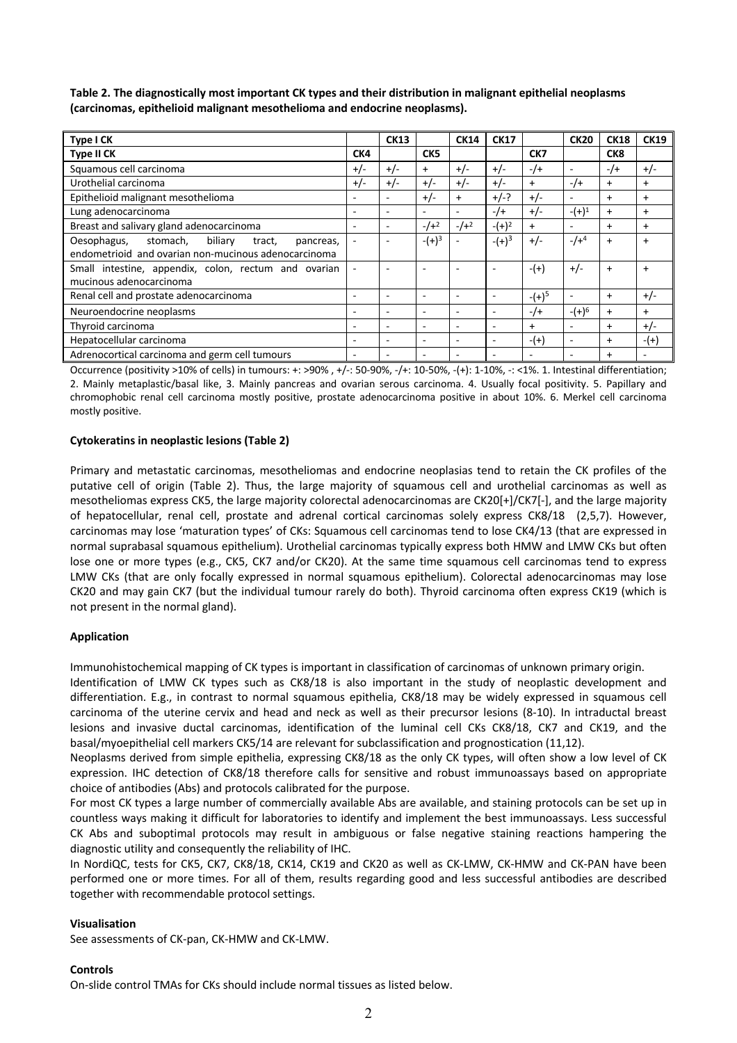| Type I CK                                                 |                          | <b>CK13</b>              |                          | <b>CK14</b>              | <b>CK17</b> |           | <b>CK20</b>              | <b>CK18</b> | <b>CK19</b> |
|-----------------------------------------------------------|--------------------------|--------------------------|--------------------------|--------------------------|-------------|-----------|--------------------------|-------------|-------------|
| Type II CK                                                | CK4                      |                          | CK <sub>5</sub>          |                          |             | CK7       |                          | CK8         |             |
| Squamous cell carcinoma                                   | $+/-$                    | $+/-$                    | $+$                      | $+/-$                    | $+/-$       | $-$ /+    | ٠                        | $-$ /+      | $+/-$       |
| Urothelial carcinoma                                      | $+/-$                    | $+/-$                    | $+/-$                    | $+/-$                    | $+/-$       | $+$       | $-$ /+                   | $\ddot{}$   | $\ddot{}$   |
| Epithelioid malignant mesothelioma                        |                          | $\overline{\phantom{0}}$ | $+/-$                    | $\ddot{}$                | $+/-?$      | $+/-$     | $\overline{\phantom{0}}$ | $\ddot{}$   | $\ddot{}$   |
| Lung adenocarcinoma                                       | $\overline{\phantom{a}}$ | $\overline{\phantom{a}}$ | $\overline{\phantom{a}}$ | $\overline{\phantom{a}}$ | $-1$        | $+/-$     | $- (+)^1$                | $+$         | $\ddot{}$   |
| Breast and salivary gland adenocarcinoma                  |                          | $\overline{\phantom{0}}$ | $-1 + 2$                 | $-/-^2$                  | $- (+)^2$   | $+$       | $\overline{\phantom{0}}$ | $\ddot{}$   | $\ddot{}$   |
| Oesophagus,<br>stomach,<br>biliary<br>tract,<br>pancreas, |                          | $\overline{a}$           | $- (+)^3$                |                          | $- (+)^3$   | $+/-$     | $-/-4$                   | $\ddot{}$   | $+$         |
| endometrioid and ovarian non-mucinous adenocarcinoma      |                          |                          |                          |                          |             |           |                          |             |             |
| Small intestine, appendix, colon, rectum and ovarian      | $\overline{\phantom{a}}$ | $\overline{\phantom{a}}$ | $\overline{\phantom{0}}$ | $\overline{\phantom{0}}$ |             | $-(+)$    | $+/-$                    | $\ddot{}$   | $\ddot{}$   |
| mucinous adenocarcinoma                                   |                          |                          |                          |                          |             |           |                          |             |             |
| Renal cell and prostate adenocarcinoma                    |                          |                          | $\overline{\phantom{0}}$ | $\overline{\phantom{0}}$ |             | $- (+)^5$ | $\overline{\phantom{0}}$ | $\ddot{}$   | $+/-$       |
| Neuroendocrine neoplasms                                  | $\overline{a}$           | $\overline{\phantom{a}}$ | $\overline{\phantom{0}}$ | $\overline{\phantom{0}}$ |             | $-1$      | $- (+)^6$                | $+$         | $\ddot{}$   |
| Thyroid carcinoma                                         | $\overline{\phantom{a}}$ | $\overline{\phantom{0}}$ | $\overline{\phantom{a}}$ | $\overline{\phantom{0}}$ |             | $\ddot{}$ | $\overline{\phantom{0}}$ | $\ddot{}$   | $+/-$       |
| Hepatocellular carcinoma                                  | $\overline{\phantom{a}}$ | $\overline{\phantom{a}}$ | $\overline{\phantom{a}}$ | $\overline{\phantom{a}}$ |             | $-(+)$    | $\overline{\phantom{a}}$ | $\ddot{}$   | $-(+)$      |
| Adrenocortical carcinoma and germ cell tumours            |                          |                          |                          |                          |             |           |                          | $\ddot{}$   |             |

**Table 2. The diagnostically most important CK types and their distribution in malignant epithelial neoplasms (carcinomas, epithelioid malignant mesothelioma and endocrine neoplasms).** 

Occurrence (positivity >10% of cells) in tumours: +: >90% , +/-: 50-90%, -/+: 10-50%, -(+): 1-10%, -: <1%. 1. Intestinal differentiation; 2. Mainly metaplastic/basal like, 3. Mainly pancreas and ovarian serous carcinoma. 4. Usually focal positivity. 5. Papillary and chromophobic renal cell carcinoma mostly positive, prostate adenocarcinoma positive in about 10%. 6. Merkel cell carcinoma mostly positive.

## **Cytokeratins in neoplastic lesions (Table 2)**

Primary and metastatic carcinomas, mesotheliomas and endocrine neoplasias tend to retain the CK profiles of the putative cell of origin (Table 2). Thus, the large majority of squamous cell and urothelial carcinomas as well as mesotheliomas express CK5, the large majority colorectal adenocarcinomas are CK20[+]/CK7[-], and the large majority of hepatocellular, renal cell, prostate and adrenal cortical carcinomas solely express CK8/18 (2,5,7). However, carcinomas may lose 'maturation types' of CKs: Squamous cell carcinomas tend to lose CK4/13 (that are expressed in normal suprabasal squamous epithelium). Urothelial carcinomas typically express both HMW and LMW CKs but often lose one or more types (e.g., CK5, CK7 and/or CK20). At the same time squamous cell carcinomas tend to express LMW CKs (that are only focally expressed in normal squamous epithelium). Colorectal adenocarcinomas may lose CK20 and may gain CK7 (but the individual tumour rarely do both). Thyroid carcinoma often express CK19 (which is not present in the normal gland).

#### **Application**

Immunohistochemical mapping of CK types is important in classification of carcinomas of unknown primary origin.

Identification of LMW CK types such as CK8/18 is also important in the study of neoplastic development and differentiation. E.g., in contrast to normal squamous epithelia, CK8/18 may be widely expressed in squamous cell carcinoma of the uterine cervix and head and neck as well as their precursor lesions (8-10). In intraductal breast lesions and invasive ductal carcinomas, identification of the luminal cell CKs CK8/18, CK7 and CK19, and the basal/myoepithelial cell markers CK5/14 are relevant for subclassification and prognostication (11,12).

Neoplasms derived from simple epithelia, expressing CK8/18 as the only CK types, will often show a low level of CK expression. IHC detection of CK8/18 therefore calls for sensitive and robust immunoassays based on appropriate choice of antibodies (Abs) and protocols calibrated for the purpose.

For most CK types a large number of commercially available Abs are available, and staining protocols can be set up in countless ways making it difficult for laboratories to identify and implement the best immunoassays. Less successful CK Abs and suboptimal protocols may result in ambiguous or false negative staining reactions hampering the diagnostic utility and consequently the reliability of IHC.

In NordiQC, tests for CK5, CK7, CK8/18, CK14, CK19 and CK20 as well as CK-LMW, CK-HMW and CK-PAN have been performed one or more times. For all of them, results regarding good and less successful antibodies are described together with recommendable protocol settings.

#### **Visualisation**

See assessments of CK-pan, CK-HMW and CK-LMW.

# **Controls**

On-slide control TMAs for CKs should include normal tissues as listed below.